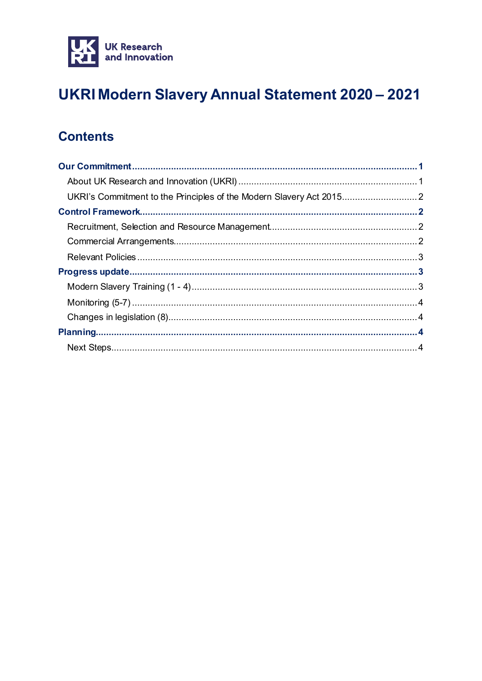

# UKRI Modern Slavery Annual Statement 2020 - 2021

## **Contents**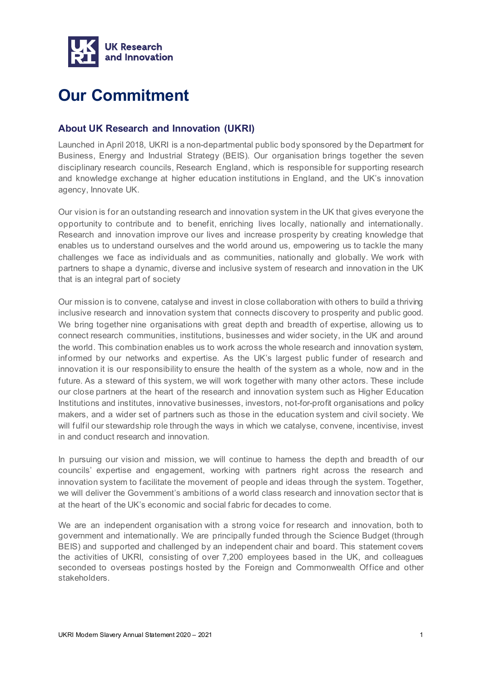

# <span id="page-1-0"></span>**Our Commitment**

### <span id="page-1-1"></span>**About UK Research and Innovation (UKRI)**

Launched in April 2018, UKRI is a non-departmental public body sponsored by the Department for Business, Energy and Industrial Strategy (BEIS). Our organisation brings together the seven disciplinary research councils, Research England, which is responsible for supporting research and knowledge exchange at higher education institutions in England, and the UK's innovation agency, Innovate UK.

Our vision is for an outstanding research and innovation system in the UK that gives everyone the opportunity to contribute and to benefit, enriching lives locally, nationally and internationally. Research and innovation improve our lives and increase prosperity by creating knowledge that enables us to understand ourselves and the world around us, empowering us to tackle the many challenges we face as individuals and as communities, nationally and globally. We work with partners to shape a dynamic, diverse and inclusive system of research and innovation in the UK that is an integral part of society

Our mission is to convene, catalyse and invest in close collaboration with others to build a thriving inclusive research and innovation system that connects discovery to prosperity and public good. We bring together nine organisations with great depth and breadth of expertise, allowing us to connect research communities, institutions, businesses and wider society, in the UK and around the world. This combination enables us to work across the whole research and innovation system, informed by our networks and expertise. As the UK's largest public funder of research and innovation it is our responsibility to ensure the health of the system as a whole, now and in the future. As a steward of this system, we will work together with many other actors. These include our close partners at the heart of the research and innovation system such as Higher Education Institutions and institutes, innovative businesses, investors, not-for-profit organisations and policy makers, and a wider set of partners such as those in the education system and civil society. We will fulfil our stewardship role through the ways in which we catalyse, convene, incentivise, invest in and conduct research and innovation.

In pursuing our vision and mission, we will continue to harness the depth and breadth of our councils' expertise and engagement, working with partners right across the research and innovation system to facilitate the movement of people and ideas through the system. Together, we will deliver the Government's ambitions of a world class research and innovation sector that is at the heart of the UK's economic and social fabric for decades to come.

We are an independent organisation with a strong voice for research and innovation, both to government and internationally. We are principally funded through the Science Budget (through BEIS) and supported and challenged by an independent chair and board. This statement covers the activities of UKRI, consisting of over 7,200 employees based in the UK, and colleagues seconded to overseas postings hosted by the Foreign and Commonwealth Office and other stakeholders.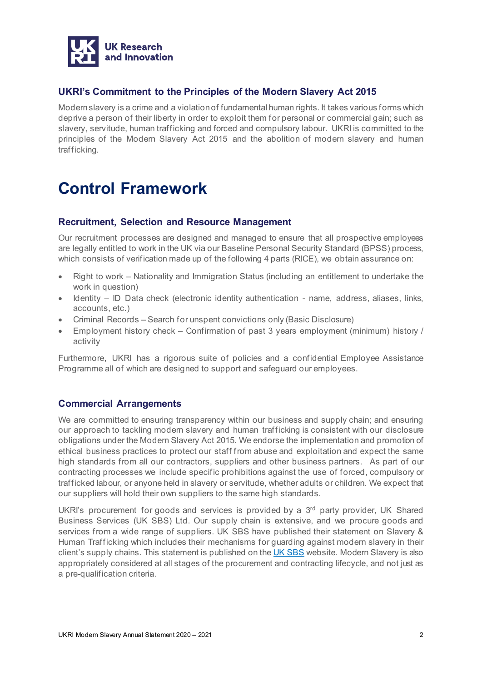

### <span id="page-2-0"></span>**UKRI's Commitment to the Principles of the Modern Slavery Act 2015**

Modern slavery is a crime and a violation of fundamental human rights. It takes various forms which deprive a person of their liberty in order to exploit them for personal or commercial gain; such as slavery, servitude, human trafficking and forced and compulsory labour. UKRI is committed to the principles of the Modern Slavery Act 2015 and the abolition of modern slavery and human trafficking.

## <span id="page-2-1"></span>**Control Framework**

### <span id="page-2-2"></span>**Recruitment, Selection and Resource Management**

Our recruitment processes are designed and managed to ensure that all prospective employees are legally entitled to work in the UK via our Baseline Personal Security Standard (BPSS) process, which consists of verification made up of the following 4 parts (RICE), we obtain assurance on:

- Right to work Nationality and Immigration Status (including an entitlement to undertake the work in question)
- Identity ID Data check (electronic identity authentication name, address, aliases, links, accounts, etc.)
- Criminal Records Search for unspent convictions only (Basic Disclosure)
- Employment history check Confirmation of past 3 years employment (minimum) history / activity

Furthermore, UKRI has a rigorous suite of policies and a confidential Employee Assistance Programme all of which are designed to support and safeguard our employees.

### <span id="page-2-3"></span>**Commercial Arrangements**

We are committed to ensuring transparency within our business and supply chain; and ensuring our approach to tackling modern slavery and human trafficking is consistent with our disclosure obligations under the Modern Slavery Act 2015. We endorse the implementation and promotion of ethical business practices to protect our staff from abuse and exploitation and expect the same high standards from all our contractors, suppliers and other business partners. As part of our contracting processes we include specific prohibitions against the use of forced, compulsory or trafficked labour, or anyone held in slavery or servitude, whether adults or children. We expect that our suppliers will hold their own suppliers to the same high standards.

UKRI's procurement for goods and services is provided by a  $3<sup>rd</sup>$  party provider, UK Shared Business Services (UK SBS) Ltd. Our supply chain is extensive, and we procure goods and services from a wide range of suppliers. UK SBS have published their statement on Slavery & Human Trafficking which includes their mechanisms for guarding against modern slavery in their client's supply chains. This statement is published on the UK SBS website. Modern Slavery is also appropriately considered at all stages of the procurement and contracting lifecycle, and not just as a pre-qualification criteria.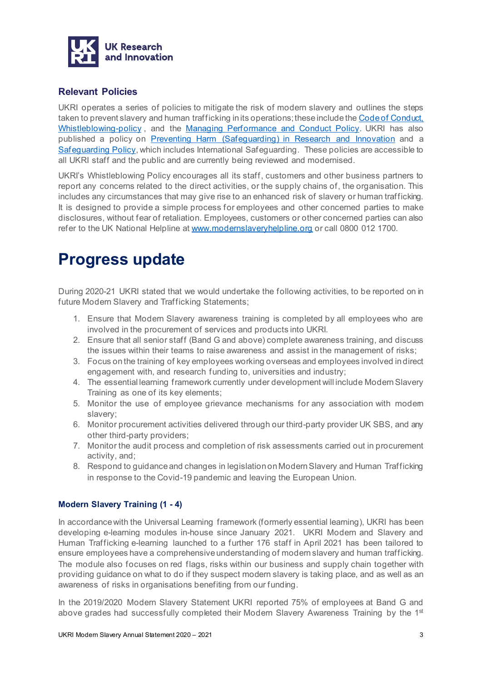

### <span id="page-3-0"></span>**Relevant Policies**

UKRI operates a series of policies to mitigate the risk of modern slavery and outlines the steps taken to prevent slavery and human trafficking in its operations; these include the [Code of Conduct,](https://www.ukri.org/wp-content/uploads/2021/03/UKRI-1503-21-CodeOfConduct-2.pdf) [Whistleblowing-policy](https://www.ukri.org/about-us/work-for-us/our-employment-policies/whistleblowing-policy/) , and the [Managing Performance and Conduct Policy.](https://www.ukri.org/wp-content/uploads/2020/10/UKRI-081020-ManagingPerformanceAndConductPolicy.pdf) UKRI has also published a policy on [Preventing Harm \(Safeguarding\) in Research and Innovation](https://www.ukri.org/about-us/policies-and-standards/preventing-harm-safeguarding-in-research-and-innovation/) and a [Safeguarding Policy](https://www.ukri.org/wp-content/uploads/2020/10/UKRI-081020-SafeguardingPolicy.pdf), which includes International Safeguarding. These policies are accessible to all UKRI staff and the public and are currently being reviewed and modernised.

UKRI's Whistleblowing Policy encourages all its staff, customers and other business partners to report any concerns related to the direct activities, or the supply chains of, the organisation. This includes any circumstances that may give rise to an enhanced risk of slavery or human trafficking. It is designed to provide a simple process for employees and other concerned parties to make disclosures, without fear of retaliation. Employees, customers or other concerned parties can also refer to the UK National Helpline at [www.modernslaveryhelpline.org](https://ukri.sharepoint.com/sites/og_strategy2/Shared%20Documents/Governance/Policies%20-%20restricted/Modern%20Slavery/Annual%20Statement%20FY%202019-20/www.modernslaveryhelpline.org) or call 0800 012 1700.

## <span id="page-3-1"></span>**Progress update**

During 2020-21 UKRI stated that we would undertake the following activities, to be reported on in future Modern Slavery and Trafficking Statements;

- 1. Ensure that Modern Slavery awareness training is completed by all employees who are involved in the procurement of services and products into UKRI.
- 2. Ensure that all senior staff (Band G and above) complete awareness training, and discuss the issues within their teams to raise awareness and assist in the management of risks;
- 3. Focus on the training of key employees working overseas and employees involved in direct engagement with, and research funding to, universities and industry;
- 4. The essential learning framework currently under development will include Modern Slavery Training as one of its key elements;
- 5. Monitor the use of employee grievance mechanisms for any association with modern slavery;
- 6. Monitor procurement activities delivered through our third-party provider UK SBS, and any other third-party providers;
- 7. Monitor the audit process and completion of risk assessments carried out in procurement activity, and;
- 8. Respond to guidance and changes in legislation on Modern Slavery and Human Trafficking in response to the Covid-19 pandemic and leaving the European Union.

#### <span id="page-3-2"></span>**Modern Slavery Training (1 - 4)**

In accordance with the Universal Learning framework (formerly essential learning), UKRI has been developing e-learning modules in-house since January 2021. UKRI Modern and Slavery and Human Trafficking e-learning launched to a further 176 staff in April 2021 has been tailored to ensure employees have a comprehensive understanding of modern slavery and human trafficking. The module also focuses on red flags, risks within our business and supply chain together with providing guidance on what to do if they suspect modern slavery is taking place, and as well as an awareness of risks in organisations benefiting from our funding.

In the 2019/2020 Modern Slavery Statement UKRI reported 75% of employees at Band G and above grades had successfully completed their Modern Slavery Awareness Training by the 1<sup>st</sup>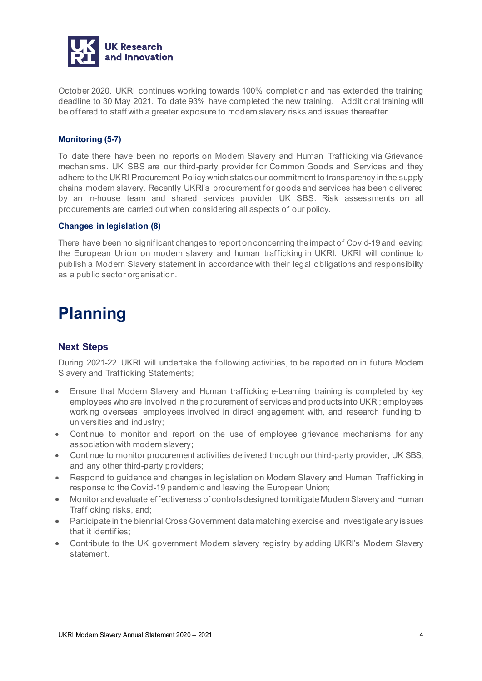

October 2020. UKRI continues working towards 100% completion and has extended the training deadline to 30 May 2021. To date 93% have completed the new training. Additional training will be offered to staff with a greater exposure to modern slavery risks and issues thereafter.

#### <span id="page-4-0"></span>**Monitoring (5-7)**

To date there have been no reports on Modern Slavery and Human Trafficking via Grievance mechanisms. UK SBS are our third-party provider for Common Goods and Services and they adhere to the UKRI Procurement Policy which states our commitment to transparency in the supply chains modern slavery. Recently UKRI's procurement for goods and services has been delivered by an in-house team and shared services provider, UK SBS. Risk assessments on all procurements are carried out when considering all aspects of our policy.

#### <span id="page-4-1"></span>**Changes in legislation (8)**

There have been no significant changes to report on concerning the impact of Covid-19 and leaving the European Union on modern slavery and human trafficking in UKRI. UKRI will continue to publish a Modern Slavery statement in accordance with their legal obligations and responsibility as a public sector organisation.

## <span id="page-4-3"></span><span id="page-4-2"></span>**Planning**

#### **Next Steps**

During 2021-22 UKRI will undertake the following activities, to be reported on in future Modern Slavery and Trafficking Statements;

- Ensure that Modern Slavery and Human trafficking e-Learning training is completed by key employees who are involved in the procurement of services and products into UKRI; employees working overseas; employees involved in direct engagement with, and research funding to, universities and industry;
- Continue to monitor and report on the use of employee grievance mechanisms for any association with modern slavery;
- Continue to monitor procurement activities delivered through our third-party provider, UK SBS, and any other third-party providers;
- Respond to guidance and changes in legislation on Modern Slavery and Human Trafficking in response to the Covid-19 pandemic and leaving the European Union;
- Monitor and evaluate effectiveness of controls designed to mitigate Modern Slavery and Human Trafficking risks, and;
- Participate in the biennial Cross Government data matching exercise and investigate any issues that it identifies;
- Contribute to the UK government Modern slavery registry by adding UKRI's Modern Slavery statement.